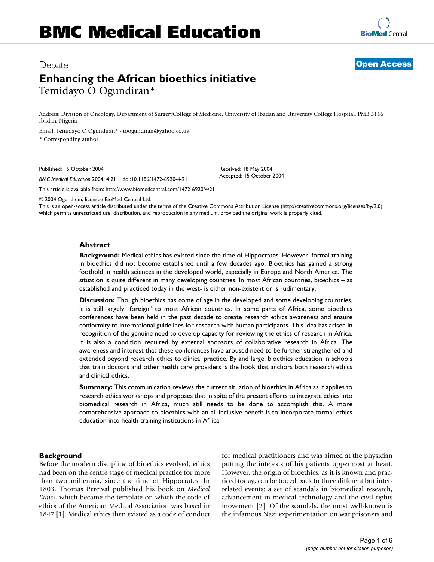# Debate **[Open Access](http://www.biomedcentral.com/info/about/charter/) Enhancing the African bioethics initiative** Temidayo O Ogundiran\*

Address: Division of Oncology, Department of SurgeryCollege of Medicine, University of Ibadan and University College Hospital, PMB 5116 Ibadan, Nigeria

Email: Temidayo O Ogundiran\* - toogundiran@yahoo.co.uk \* Corresponding author

Published: 15 October 2004

*BMC Medical Education* 2004, **4**:21 doi:10.1186/1472-6920-4-21

[This article is available from: http://www.biomedcentral.com/1472-6920/4/21](http://www.biomedcentral.com/1472-6920/4/21)

© 2004 Ogundiran; licensee BioMed Central Ltd.

This is an open-access article distributed under the terms of the Creative Commons Attribution License (<http://creativecommons.org/licenses/by/2.0>), which permits unrestricted use, distribution, and reproduction in any medium, provided the original work is properly cited.

Received: 18 May 2004 Accepted: 15 October 2004

#### **Abstract**

**Background:** Medical ethics has existed since the time of Hippocrates. However, formal training in bioethics did not become established until a few decades ago. Bioethics has gained a strong foothold in health sciences in the developed world, especially in Europe and North America. The situation is quite different in many developing countries. In most African countries, bioethics – as established and practiced today in the west- is either non-existent or is rudimentary.

**Discussion:** Though bioethics has come of age in the developed and some developing countries, it is still largely "foreign" to most African countries. In some parts of Africa, some bioethics conferences have been held in the past decade to create research ethics awareness and ensure conformity to international guidelines for research with human participants. This idea has arisen in recognition of the genuine need to develop capacity for reviewing the ethics of research in Africa. It is also a condition required by external sponsors of collaborative research in Africa. The awareness and interest that these conferences have aroused need to be further strengthened and extended beyond research ethics to clinical practice. By and large, bioethics education in schools that train doctors and other health care providers is the hook that anchors both research ethics and clinical ethics.

**Summary:** This communication reviews the current situation of bioethics in Africa as it applies to research ethics workshops and proposes that in spite of the present efforts to integrate ethics into biomedical research in Africa, much still needs to be done to accomplish this. A more comprehensive approach to bioethics with an all-inclusive benefit is to incorporate formal ethics education into health training institutions in Africa.

#### **Background**

Before the modern discipline of bioethics evolved, ethics had been on the centre stage of medical practice for more than two millennia, since the time of Hippocrates. In 1803, Thomas Percival published his book on *Medical Ethics*, which became the template on which the code of ethics of the American Medical Association was based in 1847 [1]. Medical ethics then existed as a code of conduct for medical practitioners and was aimed at the physician putting the interests of his patients uppermost at heart. However, the origin of bioethics, as it is known and practiced today, can be traced back to three different but interrelated events: a set of scandals in biomedical research, advancement in medical technology and the civil rights movement [2]. Of the scandals, the most well-known is the infamous Nazi experimentation on war prisoners and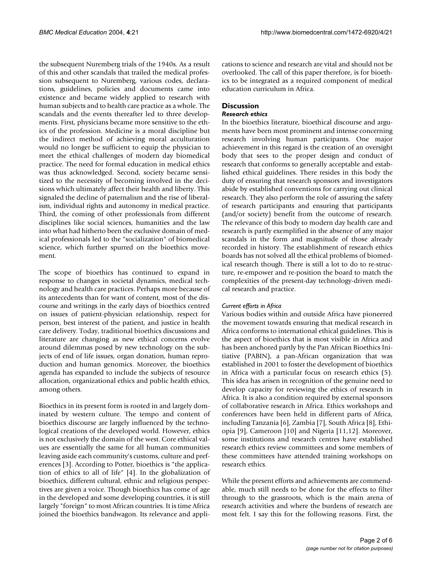the subsequent Nuremberg trials of the 1940s. As a result of this and other scandals that trailed the medical profession subsequent to Nuremberg, various codes, declarations, guidelines, policies and documents came into existence and became widely applied to research with human subjects and to health care practice as a whole. The scandals and the events thereafter led to three developments. First, physicians became more sensitive to the ethics of the profession. Medicine is a moral discipline but the indirect method of achieving moral acculturation would no longer be sufficient to equip the physician to meet the ethical challenges of modern day biomedical practice. The need for formal education in medical ethics was thus acknowledged. Second, society became sensitized to the necessity of becoming involved in the decisions which ultimately affect their health and liberty. This signaled the decline of paternalism and the rise of liberalism, individual rights and autonomy in medical practice. Third, the coming of other professionals from different disciplines like social sciences, humanities and the law into what had hitherto been the exclusive domain of medical professionals led to the "socialization" of biomedical science, which further spurred on the bioethics movement.

The scope of bioethics has continued to expand in response to changes in societal dynamics, medical technology and health care practices. Perhaps more because of its antecedents than for want of content, most of the discourse and writings in the early days of bioethics centred on issues of patient-physician relationship, respect for person, best interest of the patient, and justice in health care delivery. Today, traditional bioethics discussions and literature are changing as new ethical concerns evolve around dilemmas posed by new technology on the subjects of end of life issues, organ donation, human reproduction and human genomics. Moreover, the bioethics agenda has expanded to include the subjects of resource allocation, organizational ethics and public health ethics, among others.

Bioethics in its present form is rooted in and largely dominated by western culture. The tempo and content of bioethics discourse are largely influenced by the technological creations of the developed world. However, ethics is not exclusively the domain of the west. Core ethical values are essentially the same for all human communities leaving aside each community's customs, culture and preferences [3]. According to Potter, bioethics is "the application of ethics to all of life" [4]. In the globalization of bioethics, different cultural, ethnic and religious perspectives are given a voice. Though bioethics has come of age in the developed and some developing countries, it is still largely "foreign" to most African countries. It is time Africa joined the bioethics bandwagon. Its relevance and applications to science and research are vital and should not be overlooked. The call of this paper therefore, is for bioethics to be integrated as a required component of medical education curriculum in Africa.

## **Discussion**

### *Research ethics*

In the bioethics literature, bioethical discourse and arguments have been most prominent and intense concerning research involving human participants. One major achievement in this regard is the creation of an oversight body that sees to the proper design and conduct of research that conforms to generally acceptable and established ethical guidelines. There resides in this body the duty of ensuring that research sponsors and investigators abide by established conventions for carrying out clinical research. They also perform the role of assuring the safety of research participants and ensuring that participants (and/or society) benefit from the outcome of research. The relevance of this body to modern day health care and research is partly exemplified in the absence of any major scandals in the form and magnitude of those already recorded in history. The establishment of research ethics boards has not solved all the ethical problems of biomedical research though. There is still a lot to do to re-structure, re-empower and re-position the board to match the complexities of the present-day technology-driven medical research and practice.

#### *Current efforts in Africa*

Various bodies within and outside Africa have pioneered the movement towards ensuring that medical research in Africa conforms to international ethical guidelines. This is the aspect of bioethics that is most visible in Africa and has been anchored partly by the Pan African Bioethics Initiative (PABIN), a pan-African organization that was established in 2001 to foster the development of bioethics in Africa with a particular focus on research ethics (5). This idea has arisen in recognition of the genuine need to develop capacity for reviewing the ethics of research in Africa. It is also a condition required by external sponsors of collaborative research in Africa. Ethics workshops and conferences have been held in different parts of Africa, including Tanzania [6], Zambia [7], South Africa [8], Ethiopia [9], Cameroon [10] and Nigeria [11,12]. Moreover, some institutions and research centres have established research ethics review committees and some members of these committees have attended training workshops on research ethics.

While the present efforts and achievements are commendable, much still needs to be done for the effects to filter through to the grassroots, which is the main arena of research activities and where the burdens of research are most felt. I say this for the following reasons. First, the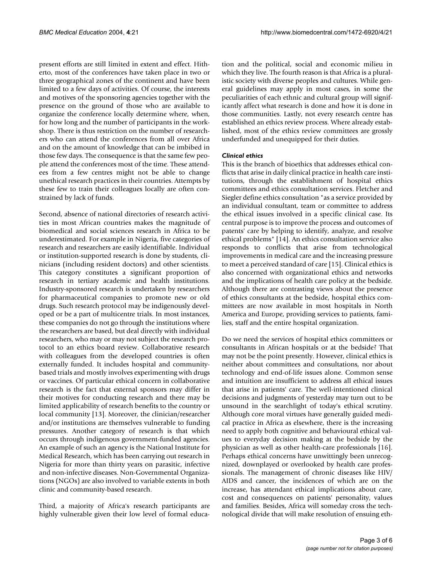present efforts are still limited in extent and effect. Hitherto, most of the conferences have taken place in two or three geographical zones of the continent and have been limited to a few days of activities. Of course, the interests and motives of the sponsoring agencies together with the presence on the ground of those who are available to organize the conference locally determine where, when, for how long and the number of participants in the workshop. There is thus restriction on the number of researchers who can attend the conferences from all over Africa and on the amount of knowledge that can be imbibed in those few days. The consequence is that the same few people attend the conferences most of the time. These attendees from a few centres might not be able to change unethical research practices in their countries. Attempts by these few to train their colleagues locally are often constrained by lack of funds.

Second, absence of national directories of research activities in most African countries makes the magnitude of biomedical and social sciences research in Africa to be underestimated. For example in Nigeria, five categories of research and researchers are easily identifiable. Individual or institution-supported research is done by students, clinicians (including resident doctors) and other scientists. This category constitutes a significant proportion of research in tertiary academic and health institutions. Industry-sponsored research is undertaken by researchers for pharmaceutical companies to promote new or old drugs. Such research protocol may be indigenously developed or be a part of multicentre trials. In most instances, these companies do not go through the institutions where the researchers are based, but deal directly with individual researchers, who may or may not subject the research protocol to an ethics board review. Collaborative research with colleagues from the developed countries is often externally funded. It includes hospital and communitybased trials and mostly involves experimenting with drugs or vaccines. Of particular ethical concern in collaborative research is the fact that external sponsors may differ in their motives for conducting research and there may be limited applicability of research benefits to the country or local community [13]. Moreover, the clinician/researcher and/or institutions are themselves vulnerable to funding pressures. Another category of research is that which occurs through indigenous government-funded agencies. An example of such an agency is the National Institute for Medical Research, which has been carrying out research in Nigeria for more than thirty years on parasitic, infective and non-infective diseases. Non-Governmental Organizations (NGOs) are also involved to variable extents in both clinic and community-based research.

Third, a majority of Africa's research participants are highly vulnerable given their low level of formal education and the political, social and economic milieu in which they live. The fourth reason is that Africa is a pluralistic society with diverse peoples and cultures. While general guidelines may apply in most cases, in some the peculiarities of each ethnic and cultural group will significantly affect what research is done and how it is done in those communities. Lastly, not every research centre has established an ethics review process. Where already established, most of the ethics review committees are grossly underfunded and unequipped for their duties.

#### *Clinical ethics*

This is the branch of bioethics that addresses ethical conflicts that arise in daily clinical practice in health care institutions, through the establishment of hospital ethics committees and ethics consultation services. Fletcher and Siegler define ethics consultation "as a service provided by an individual consultant, team or committee to address the ethical issues involved in a specific clinical case. Its central purpose is to improve the process and outcomes of patents' care by helping to identify, analyze, and resolve ethical problems" [14]. An ethics consultation service also responds to conflicts that arise from technological improvements in medical care and the increasing pressure to meet a perceived standard of care [15]. Clinical ethics is also concerned with organizational ethics and networks and the implications of health care policy at the bedside. Although there are contrasting views about the presence of ethics consultants at the bedside, hospital ethics committees are now available in most hospitals in North America and Europe, providing services to patients, families, staff and the entire hospital organization.

Do we need the services of hospital ethics committees or consultants in African hospitals or at the bedside? That may not be the point presently. However, clinical ethics is neither about committees and consultations, nor about technology and end-of-life issues alone. Common sense and intuition are insufficient to address all ethical issues that arise in patients' care. The well-intentioned clinical decisions and judgments of yesterday may turn out to be unsound in the searchlight of today's ethical scrutiny. Although core moral virtues have generally guided medical practice in Africa as elsewhere, there is the increasing need to apply both cognitive and behavioural ethical values to everyday decision making at the bedside by the physician as well as other health-care professionals [16]. Perhaps ethical concerns have unwittingly been unrecognized, downplayed or overlooked by health care professionals. The management of chronic diseases like HIV/ AIDS and cancer, the incidences of which are on the increase, has attendant ethical implications about care, cost and consequences on patients' personality, values and families. Besides, Africa will someday cross the technological divide that will make resolution of ensuing eth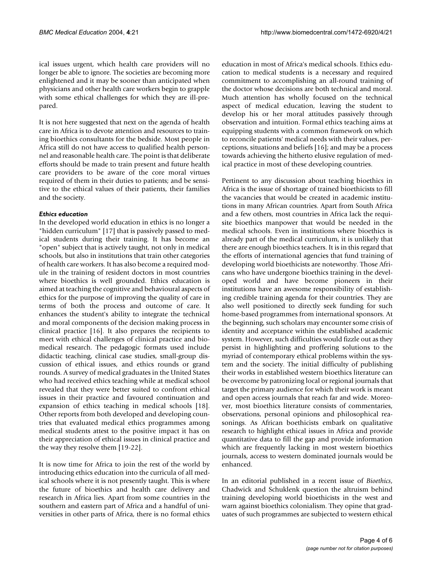ical issues urgent, which health care providers will no longer be able to ignore. The societies are becoming more enlightened and it may be sooner than anticipated when physicians and other health care workers begin to grapple with some ethical challenges for which they are ill-prepared.

It is not here suggested that next on the agenda of health care in Africa is to devote attention and resources to training bioethics consultants for the bedside. Most people in Africa still do not have access to qualified health personnel and reasonable health care. The point is that deliberate efforts should be made to train present and future health care providers to be aware of the core moral virtues required of them in their duties to patients; and be sensitive to the ethical values of their patients, their families and the society.

#### *Ethics education*

In the developed world education in ethics is no longer a "hidden curriculum" [17] that is passively passed to medical students during their training. It has become an "open" subject that is actively taught, not only in medical schools, but also in institutions that train other categories of health care workers. It has also become a required module in the training of resident doctors in most countries where bioethics is well grounded. Ethics education is aimed at teaching the cognitive and behavioural aspects of ethics for the purpose of improving the quality of care in terms of both the process and outcome of care. It enhances the student's ability to integrate the technical and moral components of the decision making process in clinical practice [16]. It also prepares the recipients to meet with ethical challenges of clinical practice and biomedical research. The pedagogic formats used include didactic teaching, clinical case studies, small-group discussion of ethical issues, and ethics rounds or grand rounds. A survey of medical graduates in the United States who had received ethics teaching while at medical school revealed that they were better suited to confront ethical issues in their practice and favoured continuation and expansion of ethics teaching in medical schools [18]. Other reports from both developed and developing countries that evaluated medical ethics programmes among medical students attest to the positive impact it has on their appreciation of ethical issues in clinical practice and the way they resolve them [19-22].

It is now time for Africa to join the rest of the world by introducing ethics education into the curricula of all medical schools where it is not presently taught. This is where the future of bioethics and health care delivery and research in Africa lies. Apart from some countries in the southern and eastern part of Africa and a handful of universities in other parts of Africa, there is no formal ethics

education in most of Africa's medical schools. Ethics education to medical students is a necessary and required commitment to accomplishing an all-round training of the doctor whose decisions are both technical and moral. Much attention has wholly focused on the technical aspect of medical education, leaving the student to develop his or her moral attitudes passively through observation and intuition. Formal ethics teaching aims at equipping students with a common framework on which to reconcile patients' medical needs with their values, perceptions, situations and beliefs [16]; and may be a process towards achieving the hitherto elusive regulation of medical practice in most of these developing countries.

Pertinent to any discussion about teaching bioethics in Africa is the issue of shortage of trained bioethicists to fill the vacancies that would be created in academic institutions in many African countries. Apart from South Africa and a few others, most countries in Africa lack the requisite bioethics manpower that would be needed in the medical schools. Even in institutions where bioethics is already part of the medical curriculum, it is unlikely that there are enough bioethics teachers. It is in this regard that the efforts of international agencies that fund training of developing world bioethicists are noteworthy. Those Africans who have undergone bioethics training in the developed world and have become pioneers in their institutions have an awesome responsibility of establishing credible training agenda for their countries. They are also well positioned to directly seek funding for such home-based programmes from international sponsors. At the beginning, such scholars may encounter some crisis of identity and acceptance within the established academic system. However, such difficulties would fizzle out as they persist in highlighting and proffering solutions to the myriad of contemporary ethical problems within the system and the society. The initial difficulty of publishing their works in established western bioethics literature can be overcome by patronizing local or regional journals that target the primary audience for which their work is meant and open access journals that reach far and wide. Moreover, most bioethics literature consists of commentaries, observations, personal opinions and philosophical reasonings. As African boethicists embark on qualitative research to highlight ethical issues in Africa and provide quantitative data to fill the gap and provide information which are frequently lacking in most western bioethics journals, access to western dominated journals would be enhanced.

In an editorial published in a recent issue of *Bioethics*, Chadwick and Schuklenk question the altruism behind training developing world bioethicists in the west and warn against bioethics colonialism. They opine that graduates of such programmes are subjected to western ethical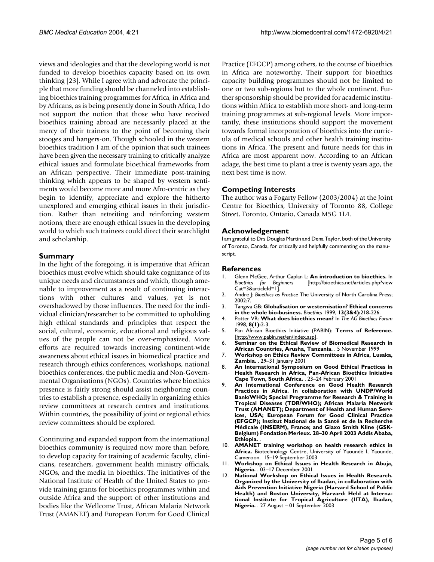views and ideologies and that the developing world is not funded to develop bioethics capacity based on its own thinking [23]. While I agree with and advocate the principle that more funding should be channeled into establishing bioethics training programmes for Africa, in Africa and by Africans, as is being presently done in South Africa, I do not support the notion that those who have received bioethics training abroad are necessarily placed at the mercy of their trainers to the point of becoming their stooges and hangers-on. Though schooled in the western bioethics tradition I am of the opinion that such trainees have been given the necessary training to critically analyze ethical issues and formulate bioethical frameworks from an African perspective. Their immediate post-training thinking which appears to be shaped by western sentiments would become more and more Afro-centric as they begin to identify, appreciate and explore the hitherto unexplored and emerging ethical issues in their jurisdiction. Rather than retreiting and reinforcing western notions, there are enough ethical issues in the developing world to which such trainees could direct their searchlight and scholarship.

#### **Summary**

In the light of the foregoing, it is imperative that African bioethics must evolve which should take cognizance of its unique needs and circumstances and which, though amenable to improvement as a result of continuing interactions with other cultures and values, yet is not overshadowed by those influences. The need for the individual clinician/researcher to be committed to upholding high ethical standards and principles that respect the social, cultural, economic, educational and religious values of the people can not be over-emphasized. More efforts are required towards increasing continent-wide awareness about ethical issues in biomedical practice and research through ethics conferences, workshops, national bioethics conferences, the public media and Non-Governmental Organisations (NGOs). Countries where bioethics presence is fairly strong should assist neighboring countries to establish a presence, especially in organizing ethics review committees at research centres and institutions. Within countries, the possibility of joint or regional ethics review committees should be explored.

Continuing and expanded support from the international bioethics community is required now more than before, to develop capacity for training of academic faculty, clinicians, researchers, government health ministry officials, NGOs, and the media in bioethics. The initiatives of the National Institute of Health of the United States to provide training grants for bioethics programmes within and outside Africa and the support of other institutions and bodies like the Wellcome Trust, African Malaria Network Trust (AMANET) and European Forum for Good Clinical

Practice (EFGCP) among others, to the course of bioethics in Africa are noteworthy. Their support for bioethics capacity building programmes should not be limited to one or two sub-regions but to the whole continent. Further sponsorship should be provided for academic institutions within Africa to establish more short- and long-term training programmes at sub-regional levels. More importantly, these institutions should support the movement towards formal incorporation of bioethics into the curricula of medical schools and other health training institutions in Africa. The present and future needs for this in Africa are most apparent now. According to an African adage, the best time to plant a tree is twenty years ago, the next best time is now.

### **Competing Interests**

The author was a Fogarty Fellow (2003/2004) at the Joint Centre for Bioethics, University of Toronto 88, College Street, Toronto, Ontario, Canada M5G 1L4.

#### **Acknowledgement**

I am grateful to Drs Douglas Martin and Dena Taylor, both of the University of Toronto, Canada, for critically and helpfully commenting on the manuscript.

#### **References**

- Glenn McGee, Arthur Caplan L: **An introduction to bioethics.** In Bioethics for Beginners [http://bioethics.net/articles.php?view *Bioethics for Beginners* [[http://bioethics.net/articles.php?view](http://bioethics.net/articles.php?viewCat=3&articleId=1) [Cat=3&articleId=1](http://bioethics.net/articles.php?viewCat=3&articleId=1)].
- 2. Andre J: *Bioethics as Practice* The University of North Carolina Press;  $2002 - 7$
- 3. Tangwa GB: **[Globalisation or westernisation? Ethical concerns](http://www.ncbi.nlm.nih.gov/entrez/query.fcgi?cmd=Retrieve&db=PubMed&dopt=Abstract&list_uids=11657231) [in the whole bio-business.](http://www.ncbi.nlm.nih.gov/entrez/query.fcgi?cmd=Retrieve&db=PubMed&dopt=Abstract&list_uids=11657231)** *Bioethics* 1999, **13(3&4):**218-226.
- 4. Potter VR: **What does bioethics mean?** In *The AG Bioethics Forum* 1998, **8(1):**2-3.
- 5. Pan African Bioethics Initiative (PABIN): **Terms of Reference.** [[http://www.pabin.net/en/index.asp\]](http://www.pabin.net/en/index.asp).
- 6. **Seminar on the Ethical Review of Biomedical Research in African Countries, Arusha, Tanzania.** . 5 November 1999
- 7. **Workshop on Ethics Review Committees in Africa, Lusaka, Zambia.** . 29–31 January 2001
- 8. **An International Symposium on Good Ethical Practices in Health Research in Africa, Pan-African Bioethics Initiative Cape Town, South Africa.** . 23–24 February 2001
- 9. **An International Conference on Good Health Research Practices in Africa. In collaboration with UNDP/World Bank/WHO; Special Programme for Research & Training in Tropical Diseases (TDR/WHO); African Malaria Network Trust (AMANET); Department of Health and Human Services, USA; European Forum for Good Clinical Practice (EFGCP); Institut National de la Santé et de la Recherche Médicale (INSERM), France; and Glaxo Smith Kline (GSK-Belgium) Fondation Merieux. 28–30 April 2003 Addis Ababa, Ethiopia.** .
- 10. **AMANET training workshop on health research ethics in Africa.** Biotechnology Centre, University of Yaoundé I, Yaounde, Cameroon. 15–19 September 2003
- 11. **Workshop on Ethical Issues in Health Research in Abuja, Nigeria.** . 03–17 December 2001
- 12. **National Workshop on Ethical Issues in Health Research. Organized by the University of Ibadan, in collaboration with Aids Prevention Initiative Nigeria (Harvard School of Public Health) and Boston University, Harvard: Held at International Institute for Tropical Agriculture (IITA), Ibadan, Nigeria.** . 27 August – 01 September 2003